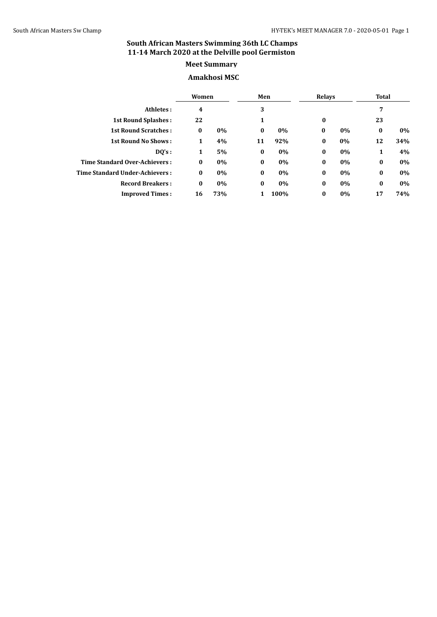# **Meet Summary**

## **Amakhosi MSC**

|                                       | Women    |     | Men      |      | <b>Relays</b> |    | <b>Total</b> |       |
|---------------------------------------|----------|-----|----------|------|---------------|----|--------------|-------|
| Athletes:                             | 4        |     | 3        |      |               |    | 7            |       |
| <b>1st Round Splashes:</b>            | 22       |     | 1        |      | $\bf{0}$      |    | 23           |       |
| <b>1st Round Scratches:</b>           | $\bf{0}$ | 0%  | $\bf{0}$ | 0%   | $\bf{0}$      | 0% | $\bf{0}$     | $0\%$ |
| <b>1st Round No Shows:</b>            | 1        | 4%  | 11       | 92%  | $\bf{0}$      | 0% | 12           | 34%   |
| DO's:                                 | 1        | 5%  | $\bf{0}$ | 0%   | $\bf{0}$      | 0% | 1            | 4%    |
| Time Standard Over-Achievers:         | $\bf{0}$ | 0%  | $\bf{0}$ | 0%   | $\bf{0}$      | 0% | $\bf{0}$     | $0\%$ |
| <b>Time Standard Under-Achievers:</b> | $\bf{0}$ | 0%  | $\bf{0}$ | 0%   | $\bf{0}$      | 0% | $\bf{0}$     | $0\%$ |
| <b>Record Breakers:</b>               | $\bf{0}$ | 0%  | $\bf{0}$ | 0%   | $\bf{0}$      | 0% | $\bf{0}$     | 0%    |
| <b>Improved Times:</b>                | 16       | 73% |          | 100% | $\bf{0}$      | 0% | 17           | 74%   |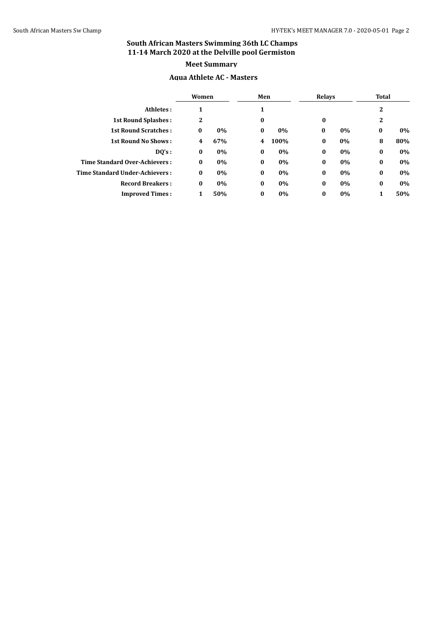#### **Aqua Athlete AC - Masters**

|                                | Women        |     | Men      |      | <b>Relays</b> |    | <b>Total</b> |     |
|--------------------------------|--------------|-----|----------|------|---------------|----|--------------|-----|
| Athletes:                      | 1            |     |          |      |               |    | 2            |     |
| <b>1st Round Splashes:</b>     | $\mathbf{2}$ |     | $\bf{0}$ |      | $\bf{0}$      |    | $\mathbf{2}$ |     |
| <b>1st Round Scratches:</b>    | $\bf{0}$     | 0%  | $\bf{0}$ | 0%   | $\bf{0}$      | 0% | $\bf{0}$     | 0%  |
| <b>1st Round No Shows:</b>     | 4            | 67% | 4        | 100% | $\bf{0}$      | 0% | 8            | 80% |
| DQ's:                          | $\bf{0}$     | 0%  | $\bf{0}$ | 0%   | $\bf{0}$      | 0% | $\bf{0}$     | 0%  |
| Time Standard Over-Achievers:  | $\bf{0}$     | 0%  | $\bf{0}$ | 0%   | $\bf{0}$      | 0% | $\bf{0}$     | 0%  |
| Time Standard Under-Achievers: | $\bf{0}$     | 0%  | $\bf{0}$ | 0%   | $\bf{0}$      | 0% | $\bf{0}$     | 0%  |
| <b>Record Breakers:</b>        | $\bf{0}$     | 0%  | $\bf{0}$ | 0%   | $\bf{0}$      | 0% | $\bf{0}$     | 0%  |
| <b>Improved Times:</b>         | 1            | 50% | $\bf{0}$ | 0%   | $\bf{0}$      | 0% | 1            | 50% |
|                                |              |     |          |      |               |    |              |     |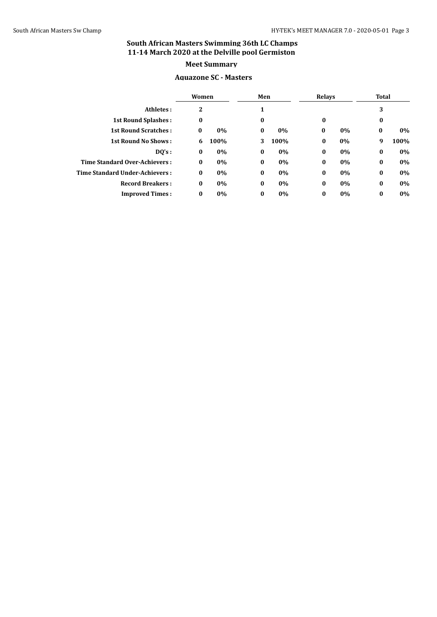#### **Aquazone SC - Masters**

|                                | Women    |      | Men      |      | <b>Relays</b> |    | <b>Total</b> |      |
|--------------------------------|----------|------|----------|------|---------------|----|--------------|------|
| Athletes:                      | 2        |      |          |      |               |    | 3            |      |
| <b>1st Round Splashes:</b>     | 0        |      | $\bf{0}$ |      | $\bf{0}$      |    | $\bf{0}$     |      |
| <b>1st Round Scratches:</b>    | $\bf{0}$ | 0%   | $\bf{0}$ | 0%   | $\bf{0}$      | 0% | $\bf{0}$     | 0%   |
| <b>1st Round No Shows:</b>     | 6        | 100% | 3        | 100% | $\bf{0}$      | 0% | 9            | 100% |
| DQ's:                          | $\bf{0}$ | 0%   | $\bf{0}$ | 0%   | $\bf{0}$      | 0% | $\bf{0}$     | 0%   |
| Time Standard Over-Achievers:  | $\bf{0}$ | 0%   | $\bf{0}$ | 0%   | $\bf{0}$      | 0% | $\bf{0}$     | 0%   |
| Time Standard Under-Achievers: | $\bf{0}$ | 0%   | $\bf{0}$ | 0%   | $\bf{0}$      | 0% | $\bf{0}$     | 0%   |
| <b>Record Breakers:</b>        | $\bf{0}$ | 0%   | $\bf{0}$ | 0%   | $\bf{0}$      | 0% | $\bf{0}$     | 0%   |
| <b>Improved Times:</b>         | $\bf{0}$ | 0%   | $\bf{0}$ | 0%   | $\bf{0}$      | 0% | $\bf{0}$     | 0%   |
|                                |          |      |          |      |               |    |              |      |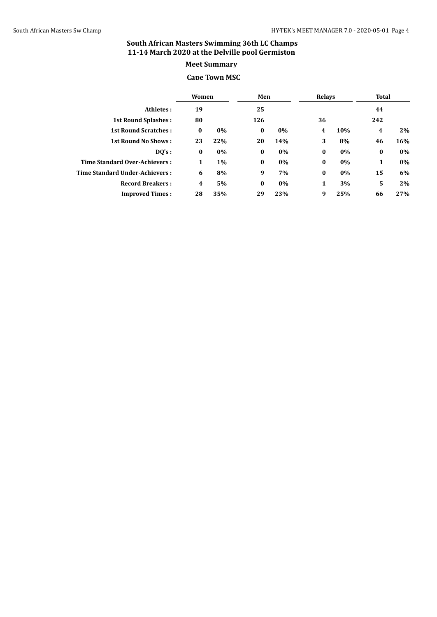# **Meet Summary**

#### **Cape Town MSC**

|                                | Women    |       | Men      |     | <b>Relays</b> |     | Total    |     |
|--------------------------------|----------|-------|----------|-----|---------------|-----|----------|-----|
| Athletes:                      | 19       |       | 25       |     |               |     | 44       |     |
| <b>1st Round Splashes:</b>     | 80       |       | 126      |     | 36            |     | 242      |     |
| <b>1st Round Scratches:</b>    | $\bf{0}$ | 0%    | $\bf{0}$ | 0%  | 4             | 10% | 4        | 2%  |
| <b>1st Round No Shows:</b>     | 23       | 22%   | 20       | 14% | 3             | 8%  | 46       | 16% |
| DQ's:                          | 0        | 0%    | $\bf{0}$ | 0%  | $\bf{0}$      | 0%  | $\bf{0}$ | 0%  |
| Time Standard Over-Achievers:  | 1        | $1\%$ | $\bf{0}$ | 0%  | $\bf{0}$      | 0%  | 1        | 0%  |
| Time Standard Under-Achievers: | 6        | 8%    | 9        | 7%  | $\bf{0}$      | 0%  | 15       | 6%  |
| <b>Record Breakers:</b>        | 4        | 5%    | $\bf{0}$ | 0%  | 1             | 3%  | 5        | 2%  |
| <b>Improved Times:</b>         | 28       | 35%   | 29       | 23% | 9             | 25% | 66       | 27% |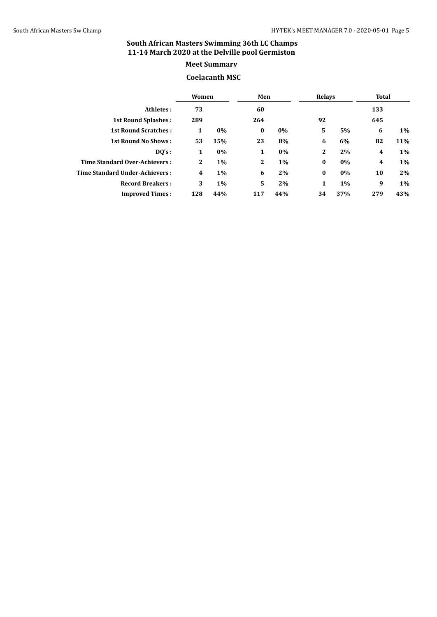#### **Coelacanth MSC**

|                                       | Women        |       | Men          |       |              | <b>Relays</b> |     | Total |
|---------------------------------------|--------------|-------|--------------|-------|--------------|---------------|-----|-------|
| Athletes:                             | 73           |       | 60           |       |              |               | 133 |       |
| <b>1st Round Splashes:</b>            | 289          |       | 264          |       | 92           |               | 645 |       |
| <b>1st Round Scratches:</b>           | 1            | 0%    | $\bf{0}$     | 0%    | 5            | 5%            | 6   | 1%    |
| <b>1st Round No Shows:</b>            | 53           | 15%   | 23           | 8%    | 6            | 6%            | 82  | 11%   |
| DQ's:                                 | 1            | 0%    | 1            | $0\%$ | $\mathbf{2}$ | 2%            | 4   | $1\%$ |
| Time Standard Over-Achievers:         | $\mathbf{2}$ | $1\%$ | $\mathbf{2}$ | $1\%$ | $\bf{0}$     | 0%            | 4   | 1%    |
| <b>Time Standard Under-Achievers:</b> | 4            | $1\%$ | 6            | 2%    | $\bf{0}$     | 0%            | 10  | 2%    |
| <b>Record Breakers:</b>               | 3            | $1\%$ | 5            | 2%    | 1            | $1\%$         | 9   | $1\%$ |
| <b>Improved Times:</b>                | 128          | 44%   | 117          | 44%   | 34           | 37%           | 279 | 43%   |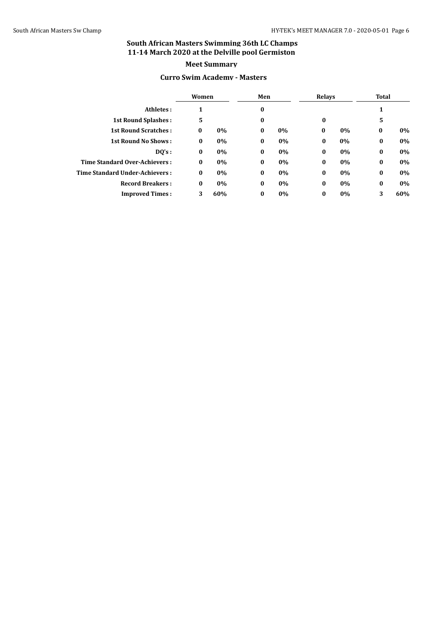#### **Curro Swim Academy - Masters**

|                                | Women    |       | Men      |    | Relays   |       | Total    |     |
|--------------------------------|----------|-------|----------|----|----------|-------|----------|-----|
| Athletes:                      |          |       | $\bf{0}$ |    |          |       | 1        |     |
| <b>1st Round Splashes:</b>     | 5        |       | $\bf{0}$ |    | $\bf{0}$ |       | 5        |     |
| <b>1st Round Scratches:</b>    | $\bf{0}$ | $0\%$ | $\bf{0}$ | 0% | $\bf{0}$ | $0\%$ | $\bf{0}$ | 0%  |
| <b>1st Round No Shows:</b>     | 0        | 0%    | $\bf{0}$ | 0% | $\bf{0}$ | 0%    | $\bf{0}$ | 0%  |
| DQ's:                          | $\bf{0}$ | 0%    | $\bf{0}$ | 0% | $\bf{0}$ | 0%    | $\bf{0}$ | 0%  |
| Time Standard Over-Achievers:  | $\bf{0}$ | 0%    | $\bf{0}$ | 0% | $\bf{0}$ | 0%    | $\bf{0}$ | 0%  |
| Time Standard Under-Achievers: | $\bf{0}$ | 0%    | $\bf{0}$ | 0% | $\bf{0}$ | 0%    | $\bf{0}$ | 0%  |
| <b>Record Breakers:</b>        | $\bf{0}$ | 0%    | $\bf{0}$ | 0% | $\bf{0}$ | 0%    | $\bf{0}$ | 0%  |
| <b>Improved Times:</b>         | 3        | 60%   | $\bf{0}$ | 0% | $\bf{0}$ | 0%    | 3        | 60% |
|                                |          |       |          |    |          |       |          |     |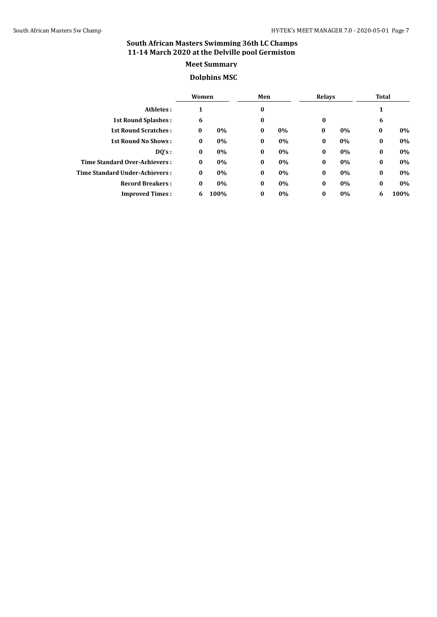#### **Dolphins MSC**

|                                       | Women    |       | Men      |       |          | <b>Relays</b> |          | Total |
|---------------------------------------|----------|-------|----------|-------|----------|---------------|----------|-------|
| Athletes:                             |          |       | $\bf{0}$ |       |          |               | 1        |       |
| <b>1st Round Splashes:</b>            | 6        |       | $\bf{0}$ |       | $\bf{0}$ |               | 6        |       |
| <b>1st Round Scratches:</b>           | $\bf{0}$ | 0%    | $\bf{0}$ | 0%    | $\bf{0}$ | 0%            | $\bf{0}$ | 0%    |
| <b>1st Round No Shows:</b>            | $\bf{0}$ | 0%    | $\bf{0}$ | 0%    | $\bf{0}$ | 0%            | $\bf{0}$ | 0%    |
| DQ's:                                 | $\bf{0}$ | 0%    | $\bf{0}$ | $0\%$ | $\bf{0}$ | 0%            | $\bf{0}$ | 0%    |
| Time Standard Over-Achievers:         | $\bf{0}$ | $0\%$ | $\bf{0}$ | 0%    | $\bf{0}$ | 0%            | $\bf{0}$ | 0%    |
| <b>Time Standard Under-Achievers:</b> | $\bf{0}$ | 0%    | $\bf{0}$ | 0%    | $\bf{0}$ | 0%            | $\bf{0}$ | 0%    |
| <b>Record Breakers:</b>               | $\bf{0}$ | 0%    | $\bf{0}$ | 0%    | $\bf{0}$ | 0%            | $\bf{0}$ | 0%    |
| <b>Improved Times:</b>                | 6        | 100%  | $\bf{0}$ | 0%    | $\bf{0}$ | 0%            | 6        | 100%  |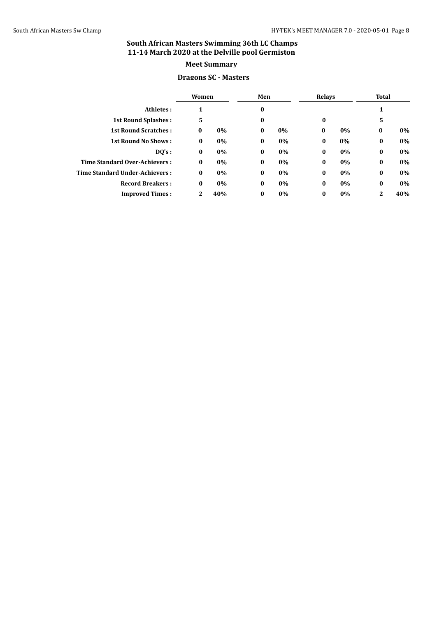#### **Dragons SC - Masters**

|                                | Women        |     | Men      |    | <b>Relays</b> |    | Total    |     |
|--------------------------------|--------------|-----|----------|----|---------------|----|----------|-----|
| Athletes:                      | 1            |     | $\bf{0}$ |    |               |    | 1        |     |
| <b>1st Round Splashes:</b>     | 5            |     | $\bf{0}$ |    | $\bf{0}$      |    | 5        |     |
| <b>1st Round Scratches:</b>    | $\bf{0}$     | 0%  | $\bf{0}$ | 0% | $\bf{0}$      | 0% | $\bf{0}$ | 0%  |
| <b>1st Round No Shows:</b>     | $\bf{0}$     | 0%  | $\bf{0}$ | 0% | $\bf{0}$      | 0% | $\bf{0}$ | 0%  |
| DO's:                          | $\bf{0}$     | 0%  | $\bf{0}$ | 0% | $\bf{0}$      | 0% | $\bf{0}$ | 0%  |
| Time Standard Over-Achievers:  | $\bf{0}$     | 0%  | $\bf{0}$ | 0% | $\bf{0}$      | 0% | $\bf{0}$ | 0%  |
| Time Standard Under-Achievers: | $\bf{0}$     | 0%  | $\bf{0}$ | 0% | $\bf{0}$      | 0% | $\bf{0}$ | 0%  |
| <b>Record Breakers:</b>        | $\bf{0}$     | 0%  | $\bf{0}$ | 0% | $\bf{0}$      | 0% | $\bf{0}$ | 0%  |
| <b>Improved Times:</b>         | $\mathbf{2}$ | 40% | $\bf{0}$ | 0% | $\bf{0}$      | 0% | 2        | 40% |
|                                |              |     |          |    |               |    |          |     |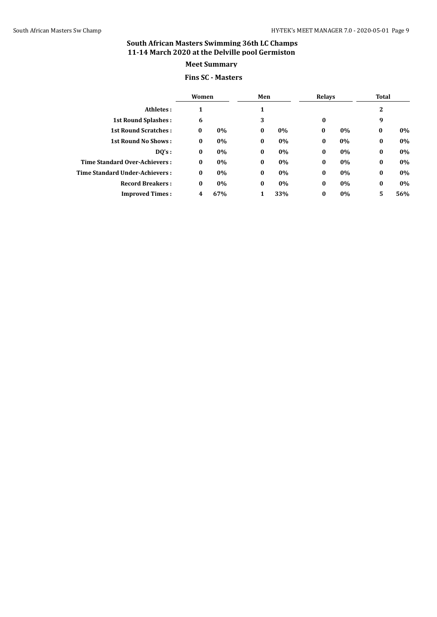# **Fins SC - Masters**

|                                       | Women    |       | Men      |       |          | Relays |                | Total |
|---------------------------------------|----------|-------|----------|-------|----------|--------|----------------|-------|
| Athletes:                             |          |       |          |       |          |        | $\overline{2}$ |       |
| <b>1st Round Splashes:</b>            | 6        |       | 3        |       | 0        |        | 9              |       |
| <b>1st Round Scratches:</b>           | $\bf{0}$ | 0%    | $\bf{0}$ | $0\%$ | $\bf{0}$ | 0%     | $\bf{0}$       | 0%    |
| <b>1st Round No Shows:</b>            | $\bf{0}$ | 0%    | $\bf{0}$ | $0\%$ | $\bf{0}$ | 0%     | $\bf{0}$       | 0%    |
| DQ's:                                 | $\bf{0}$ | 0%    | $\bf{0}$ | 0%    | $\bf{0}$ | 0%     | $\bf{0}$       | 0%    |
| Time Standard Over-Achievers:         | $\bf{0}$ | $0\%$ | $\bf{0}$ | 0%    | $\bf{0}$ | 0%     | $\bf{0}$       | 0%    |
| <b>Time Standard Under-Achievers:</b> | $\bf{0}$ | 0%    | $\bf{0}$ | 0%    | $\bf{0}$ | 0%     | $\bf{0}$       | 0%    |
| <b>Record Breakers:</b>               | $\bf{0}$ | 0%    | $\bf{0}$ | $0\%$ | $\bf{0}$ | 0%     | $\bf{0}$       | 0%    |
| <b>Improved Times:</b>                | 4        | 67%   | 1        | 33%   | $\bf{0}$ | 0%     | 5              | 56%   |
|                                       |          |       |          |       |          |        |                |       |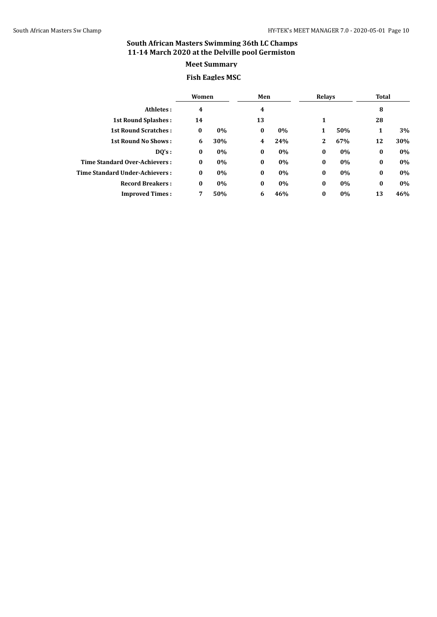# **Meet Summary**

#### **Fish Eagles MSC**

|                                       | Women    |     | Men                     |       | <b>Relays</b> |     | Total    |     |
|---------------------------------------|----------|-----|-------------------------|-------|---------------|-----|----------|-----|
| Athletes:                             | 4        |     | 4                       |       |               |     | 8        |     |
| <b>1st Round Splashes:</b>            | 14       |     | 13                      |       | 1             |     | 28       |     |
| <b>1st Round Scratches:</b>           | $\bf{0}$ | 0%  | $\bf{0}$                | $0\%$ | 1             | 50% | 1        | 3%  |
| <b>1st Round No Shows:</b>            | 6        | 30% | $\overline{\mathbf{4}}$ | 24%   | 2             | 67% | 12       | 30% |
| DQ's:                                 | $\bf{0}$ | 0%  | $\bf{0}$                | $0\%$ | $\bf{0}$      | 0%  | $\bf{0}$ | 0%  |
| Time Standard Over-Achievers:         | $\bf{0}$ | 0%  | $\bf{0}$                | 0%    | $\bf{0}$      | 0%  | $\bf{0}$ | 0%  |
| <b>Time Standard Under-Achievers:</b> | $\bf{0}$ | 0%  | $\bf{0}$                | $0\%$ | $\bf{0}$      | 0%  | $\bf{0}$ | 0%  |
| <b>Record Breakers:</b>               | $\bf{0}$ | 0%  | $\bf{0}$                | $0\%$ | $\bf{0}$      | 0%  | $\bf{0}$ | 0%  |
| <b>Improved Times:</b>                | 7        | 50% | 6                       | 46%   | $\bf{0}$      | 0%  | 13       | 46% |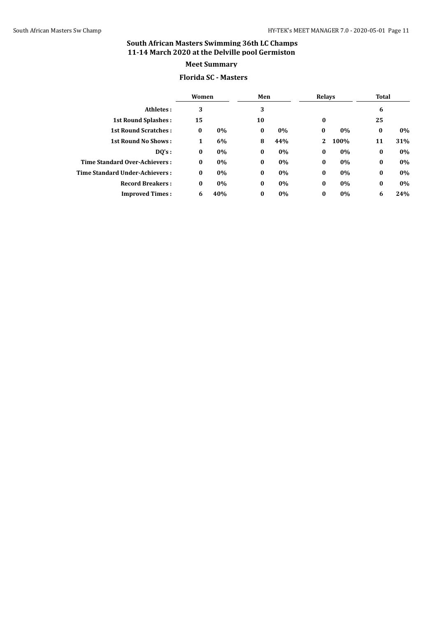#### **Florida SC - Masters**

|                                | Women    |     | Men      |       | <b>Relays</b> |      | Total    |     |
|--------------------------------|----------|-----|----------|-------|---------------|------|----------|-----|
| Athletes:                      | 3        |     | 3        |       |               |      | 6        |     |
| <b>1st Round Splashes:</b>     | 15       |     | 10       |       | $\bf{0}$      |      | 25       |     |
| <b>1st Round Scratches:</b>    | $\bf{0}$ | 0%  | $\bf{0}$ | $0\%$ | $\bf{0}$      | 0%   | $\bf{0}$ | 0%  |
| <b>1st Round No Shows:</b>     | 1        | 6%  | 8        | 44%   | 2             | 100% | 11       | 31% |
| DQ's:                          | $\bf{0}$ | 0%  | $\bf{0}$ | $0\%$ | $\bf{0}$      | 0%   | $\bf{0}$ | 0%  |
| Time Standard Over-Achievers:  | $\bf{0}$ | 0%  | $\bf{0}$ | 0%    | $\bf{0}$      | 0%   | $\bf{0}$ | 0%  |
| Time Standard Under-Achievers: | $\bf{0}$ | 0%  | $\bf{0}$ | 0%    | $\bf{0}$      | 0%   | $\bf{0}$ | 0%  |
| <b>Record Breakers:</b>        | $\bf{0}$ | 0%  | $\bf{0}$ | 0%    | $\bf{0}$      | 0%   | $\bf{0}$ | 0%  |
| <b>Improved Times:</b>         | 6        | 40% | $\bf{0}$ | 0%    | $\bf{0}$      | 0%   | 6        | 24% |
|                                |          |     |          |       |               |      |          |     |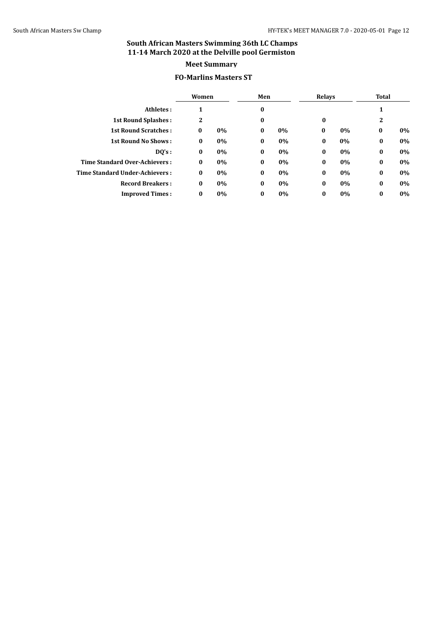#### **FO-Marlins Masters ST**

|                                       | Women        |    | Men      |    | <b>Relays</b> |    | Total        |    |
|---------------------------------------|--------------|----|----------|----|---------------|----|--------------|----|
| Athletes:                             | 1            |    | $\bf{0}$ |    |               |    | 1            |    |
| <b>1st Round Splashes:</b>            | $\mathbf{2}$ |    | $\bf{0}$ |    | $\bf{0}$      |    | $\mathbf{2}$ |    |
| <b>1st Round Scratches:</b>           | $\bf{0}$     | 0% | $\bf{0}$ | 0% | $\bf{0}$      | 0% | $\bf{0}$     | 0% |
| <b>1st Round No Shows:</b>            | $\bf{0}$     | 0% | $\bf{0}$ | 0% | $\bf{0}$      | 0% | $\bf{0}$     | 0% |
| DQ's:                                 | $\bf{0}$     | 0% | $\bf{0}$ | 0% | $\bf{0}$      | 0% | $\bf{0}$     | 0% |
| Time Standard Over-Achievers:         | $\bf{0}$     | 0% | $\bf{0}$ | 0% | $\bf{0}$      | 0% | $\bf{0}$     | 0% |
| <b>Time Standard Under-Achievers:</b> | $\bf{0}$     | 0% | $\bf{0}$ | 0% | $\bf{0}$      | 0% | $\bf{0}$     | 0% |
| <b>Record Breakers:</b>               | $\bf{0}$     | 0% | $\bf{0}$ | 0% | $\bf{0}$      | 0% | $\bf{0}$     | 0% |
| <b>Improved Times:</b>                | $\bf{0}$     | 0% | $\bf{0}$ | 0% | $\bf{0}$      | 0% | $\bf{0}$     | 0% |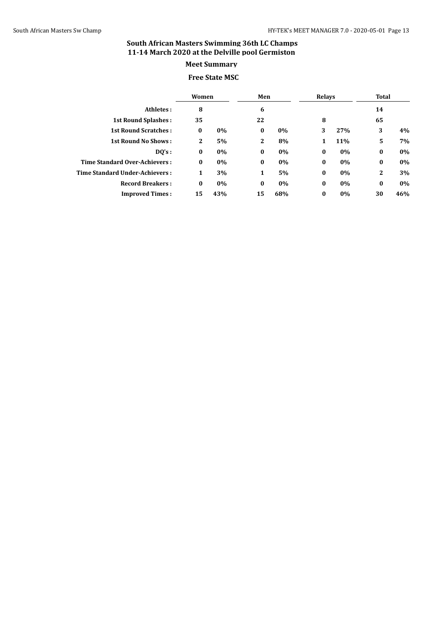# **Free State MSC**

|                                       | Women        |     | Men          |       | <b>Relays</b> |       | Total    |       |
|---------------------------------------|--------------|-----|--------------|-------|---------------|-------|----------|-------|
| Athletes:                             | 8            |     | 6            |       |               |       | 14       |       |
| <b>1st Round Splashes:</b>            | 35           |     | 22           |       | 8             |       | 65       |       |
| <b>1st Round Scratches:</b>           | $\bf{0}$     | 0%  | $\bf{0}$     | 0%    | 3             | 27%   | 3        | 4%    |
| <b>1st Round No Shows:</b>            | $\mathbf{2}$ | 5%  | $\mathbf{2}$ | 8%    | 1             | 11%   | 5        | 7%    |
| DO's:                                 | $\bf{0}$     | 0%  | $\bf{0}$     | 0%    | $\bf{0}$      | $0\%$ | $\bf{0}$ | $0\%$ |
| <b>Time Standard Over-Achievers:</b>  | $\bf{0}$     | 0%  | $\bf{0}$     | $0\%$ | $\bf{0}$      | 0%    | $\bf{0}$ | $0\%$ |
| <b>Time Standard Under-Achievers:</b> | 1            | 3%  | 1            | 5%    | $\bf{0}$      | 0%    | 2        | 3%    |
| <b>Record Breakers:</b>               | $\bf{0}$     | 0%  | $\bf{0}$     | 0%    | $\bf{0}$      | $0\%$ | $\bf{0}$ | $0\%$ |
| <b>Improved Times:</b>                | 15           | 43% | 15           | 68%   | $\bf{0}$      | 0%    | 30       | 46%   |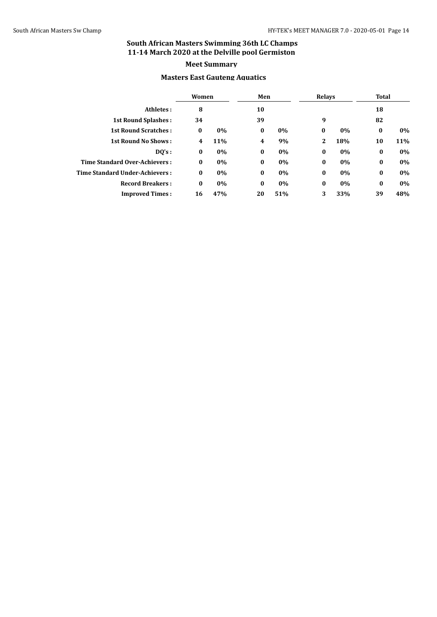#### **Masters East Gauteng Aquatics**

|                                       | Women    |     | Men                     |       | Relays   |     | Total    |     |
|---------------------------------------|----------|-----|-------------------------|-------|----------|-----|----------|-----|
| Athletes:                             | 8        |     | 10                      |       |          |     | 18       |     |
| <b>1st Round Splashes:</b>            | 34       |     | 39                      |       | 9        |     | 82       |     |
| <b>1st Round Scratches:</b>           | $\bf{0}$ | 0%  | $\bf{0}$                | $0\%$ | $\bf{0}$ | 0%  | $\bf{0}$ | 0%  |
| <b>1st Round No Shows:</b>            | 4        | 11% | $\overline{\mathbf{4}}$ | 9%    | 2        | 18% | 10       | 11% |
| DO's:                                 | $\bf{0}$ | 0%  | $\bf{0}$                | 0%    | $\bf{0}$ | 0%  | $\bf{0}$ | 0%  |
| <b>Time Standard Over-Achievers:</b>  | $\bf{0}$ | 0%  | $\bf{0}$                | 0%    | $\bf{0}$ | 0%  | $\bf{0}$ | 0%  |
| <b>Time Standard Under-Achievers:</b> | $\bf{0}$ | 0%  | $\bf{0}$                | $0\%$ | $\bf{0}$ | 0%  | $\bf{0}$ | 0%  |
| <b>Record Breakers:</b>               | $\bf{0}$ | 0%  | $\bf{0}$                | 0%    | $\bf{0}$ | 0%  | $\bf{0}$ | 0%  |
| <b>Improved Times:</b>                | 16       | 47% | 20                      | 51%   | 3        | 33% | 39       | 48% |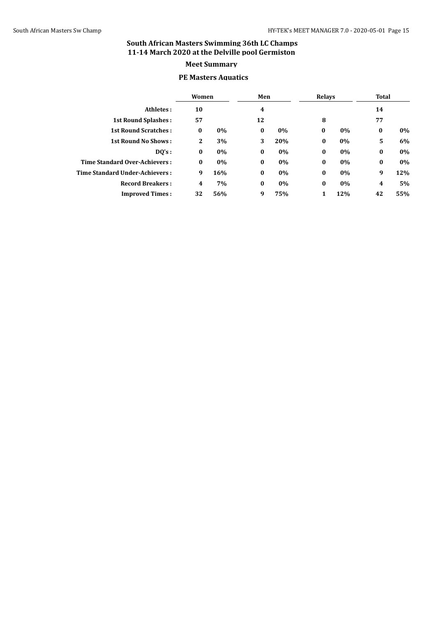#### **PE Masters Aquatics**

|                                | Women        |     | Men      |       | <b>Relays</b> |     |          | Total |  |
|--------------------------------|--------------|-----|----------|-------|---------------|-----|----------|-------|--|
| Athletes:                      | 10           |     | 4        |       |               |     | 14       |       |  |
| <b>1st Round Splashes:</b>     | 57           |     | 12       |       | 8             |     | 77       |       |  |
| <b>1st Round Scratches:</b>    | $\bf{0}$     | 0%  | $\bf{0}$ | $0\%$ | $\bf{0}$      | 0%  | $\bf{0}$ | 0%    |  |
| <b>1st Round No Shows:</b>     | $\mathbf{2}$ | 3%  | 3        | 20%   | $\bf{0}$      | 0%  | 5        | 6%    |  |
| $DQ's$ :                       | $\bf{0}$     | 0%  | $\bf{0}$ | $0\%$ | $\bf{0}$      | 0%  | $\bf{0}$ | 0%    |  |
| Time Standard Over-Achievers:  | $\bf{0}$     | 0%  | $\bf{0}$ | 0%    | $\bf{0}$      | 0%  | $\bf{0}$ | 0%    |  |
| Time Standard Under-Achievers: | 9            | 16% | $\bf{0}$ | 0%    | $\bf{0}$      | 0%  | 9        | 12%   |  |
| <b>Record Breakers:</b>        | 4            | 7%  | $\bf{0}$ | $0\%$ | $\bf{0}$      | 0%  | 4        | 5%    |  |
| <b>Improved Times:</b>         | 32           | 56% | 9        | 75%   | 1             | 12% | 42       | 55%   |  |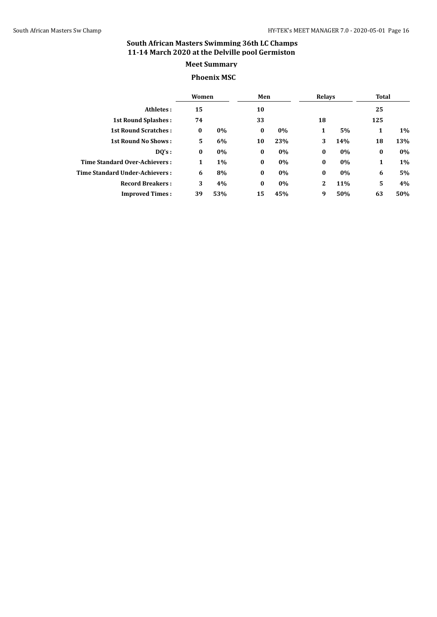#### **Phoenix MSC**

|                                       | Women    |       | Men      |     | Relays   |     | Total    |     |
|---------------------------------------|----------|-------|----------|-----|----------|-----|----------|-----|
| Athletes:                             | 15       |       | 10       |     |          |     | 25       |     |
| <b>1st Round Splashes:</b>            | 74       |       | 33       |     | 18       |     | 125      |     |
| <b>1st Round Scratches:</b>           | $\bf{0}$ | 0%    | $\bf{0}$ | 0%  | 1        | 5%  | 1        | 1%  |
| <b>1st Round No Shows:</b>            | 5        | 6%    | 10       | 23% | 3        | 14% | 18       | 13% |
| DO's:                                 | $\bf{0}$ | 0%    | $\bf{0}$ | 0%  | $\bf{0}$ | 0%  | $\bf{0}$ | 0%  |
| Time Standard Over-Achievers:         | 1        | $1\%$ | $\bf{0}$ | 0%  | $\bf{0}$ | 0%  | 1        | 1%  |
| <b>Time Standard Under-Achievers:</b> | 6        | 8%    | $\bf{0}$ | 0%  | $\bf{0}$ | 0%  | 6        | 5%  |
| <b>Record Breakers:</b>               | 3        | 4%    | $\bf{0}$ | 0%  | 2        | 11% | 5        | 4%  |
| <b>Improved Times:</b>                | 39       | 53%   | 15       | 45% | 9        | 50% | 63       | 50% |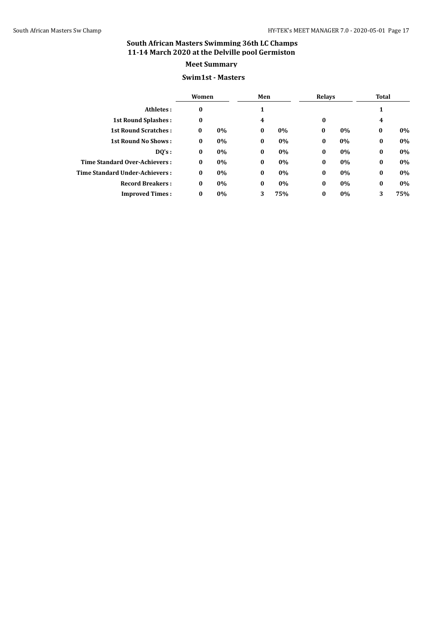#### **Swim1st - Masters**

|                                       | Women    |    | Men      |     | <b>Relays</b> |    | Total    |     |
|---------------------------------------|----------|----|----------|-----|---------------|----|----------|-----|
| Athletes:                             | 0        |    | 1        |     |               |    | 1        |     |
| <b>1st Round Splashes:</b>            | 0        |    | 4        |     | $\bf{0}$      |    | 4        |     |
| <b>1st Round Scratches:</b>           | $\bf{0}$ | 0% | $\bf{0}$ | 0%  | $\bf{0}$      | 0% | $\bf{0}$ | 0%  |
| <b>1st Round No Shows:</b>            | $\bf{0}$ | 0% | $\bf{0}$ | 0%  | $\bf{0}$      | 0% | $\bf{0}$ | 0%  |
| DQ's:                                 | $\bf{0}$ | 0% | $\bf{0}$ | 0%  | $\bf{0}$      | 0% | $\bf{0}$ | 0%  |
| Time Standard Over-Achievers:         | $\bf{0}$ | 0% | $\bf{0}$ | 0%  | $\bf{0}$      | 0% | $\bf{0}$ | 0%  |
| <b>Time Standard Under-Achievers:</b> | $\bf{0}$ | 0% | $\bf{0}$ | 0%  | $\bf{0}$      | 0% | $\bf{0}$ | 0%  |
| <b>Record Breakers:</b>               | $\bf{0}$ | 0% | $\bf{0}$ | 0%  | $\bf{0}$      | 0% | $\bf{0}$ | 0%  |
| <b>Improved Times:</b>                | $\bf{0}$ | 0% | 3        | 75% | $\bf{0}$      | 0% | 3        | 75% |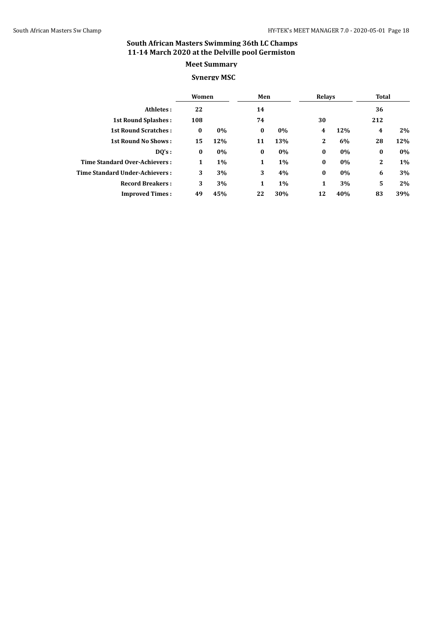#### **Synergy MSC**

|                                |          | Women |              | Men   |              | Relays |          | <b>Total</b> |  |
|--------------------------------|----------|-------|--------------|-------|--------------|--------|----------|--------------|--|
| Athletes:                      | 22       |       | 14           |       |              |        | 36       |              |  |
| <b>1st Round Splashes:</b>     | 108      |       | 74           |       | 30           |        | 212      |              |  |
| <b>1st Round Scratches:</b>    | $\bf{0}$ | 0%    | $\bf{0}$     | $0\%$ | 4            | 12%    | 4        | 2%           |  |
| <b>1st Round No Shows:</b>     | 15       | 12%   | 11           | 13%   | $\mathbf{2}$ | 6%     | 28       | 12%          |  |
| DO's:                          | $\bf{0}$ | 0%    | $\bf{0}$     | 0%    | $\bf{0}$     | 0%     | $\bf{0}$ | 0%           |  |
| Time Standard Over-Achievers:  | 1        | $1\%$ | $\mathbf{1}$ | $1\%$ | $\bf{0}$     | 0%     | 2        | 1%           |  |
| Time Standard Under-Achievers: | 3        | 3%    | 3            | 4%    | $\bf{0}$     | 0%     | 6        | 3%           |  |
| <b>Record Breakers:</b>        | 3        | 3%    | 1            | 1%    | 1            | 3%     | 5        | 2%           |  |
| <b>Improved Times:</b>         | 49       | 45%   | 22           | 30%   | 12           | 40%    | 83       | 39%          |  |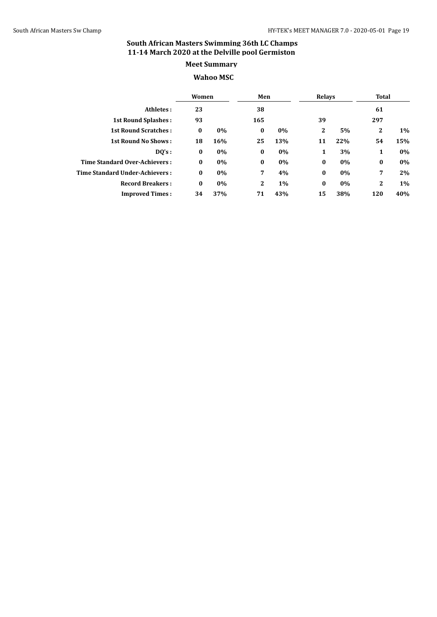#### **Wahoo MSC**

| Women                                 |          |       | Men            |       | Relays   |     | Total        |     |
|---------------------------------------|----------|-------|----------------|-------|----------|-----|--------------|-----|
| Athletes:                             | 23       |       | 38             |       |          |     | 61           |     |
| <b>1st Round Splashes:</b>            | 93       |       | 165            |       | 39       |     | 297          |     |
| <b>1st Round Scratches:</b>           | $\bf{0}$ | 0%    | $\bf{0}$       | $0\%$ | 2        | 5%  | $\mathbf{2}$ | 1%  |
| <b>1st Round No Shows:</b>            | 18       | 16%   | 25             | 13%   | 11       | 22% | 54           | 15% |
| DQ's:                                 | $\bf{0}$ | 0%    | $\bf{0}$       | $0\%$ | 1        | 3%  | 1            | 0%  |
| Time Standard Over-Achievers:         | $\bf{0}$ | $0\%$ | $\bf{0}$       | 0%    | $\bf{0}$ | 0%  | $\bf{0}$     | 0%  |
| <b>Time Standard Under-Achievers:</b> | $\bf{0}$ | 0%    | $\overline{7}$ | 4%    | $\bf{0}$ | 0%  | 7            | 2%  |
| <b>Record Breakers:</b>               | $\bf{0}$ | 0%    | $\mathbf{2}$   | 1%    | $\bf{0}$ | 0%  | $\mathbf{2}$ | 1%  |
| <b>Improved Times:</b>                | 34       | 37%   | 71             | 43%   | 15       | 38% | 120          | 40% |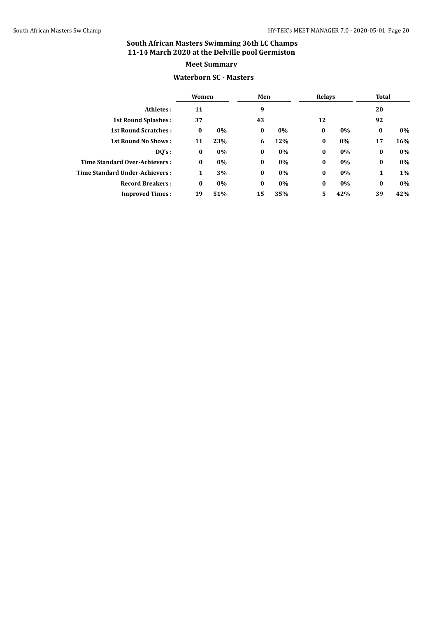#### **Waterborn SC - Masters**

|                                | Women    |     | Men      |       | <b>Relays</b> |     | Total    |     |
|--------------------------------|----------|-----|----------|-------|---------------|-----|----------|-----|
| Athletes:                      | 11       |     | 9        |       |               |     | 20       |     |
| <b>1st Round Splashes:</b>     | 37       |     | 43       |       | 12            |     | 92       |     |
| <b>1st Round Scratches:</b>    | $\bf{0}$ | 0%  | $\bf{0}$ | $0\%$ | $\bf{0}$      | 0%  | $\bf{0}$ | 0%  |
| <b>1st Round No Shows:</b>     | 11       | 23% | 6        | 12%   | $\bf{0}$      | 0%  | 17       | 16% |
| $DQ's$ :                       | $\bf{0}$ | 0%  | $\bf{0}$ | $0\%$ | $\bf{0}$      | 0%  | $\bf{0}$ | 0%  |
| Time Standard Over-Achievers:  | $\bf{0}$ | 0%  | $\bf{0}$ | 0%    | $\bf{0}$      | 0%  | $\bf{0}$ | 0%  |
| Time Standard Under-Achievers: | 1        | 3%  | $\bf{0}$ | $0\%$ | $\bf{0}$      | 0%  | 1        | 1%  |
| <b>Record Breakers:</b>        | $\bf{0}$ | 0%  | $\bf{0}$ | $0\%$ | $\bf{0}$      | 0%  | $\bf{0}$ | 0%  |
| <b>Improved Times:</b>         | 19       | 51% | 15       | 35%   | 5             | 42% | 39       | 42% |